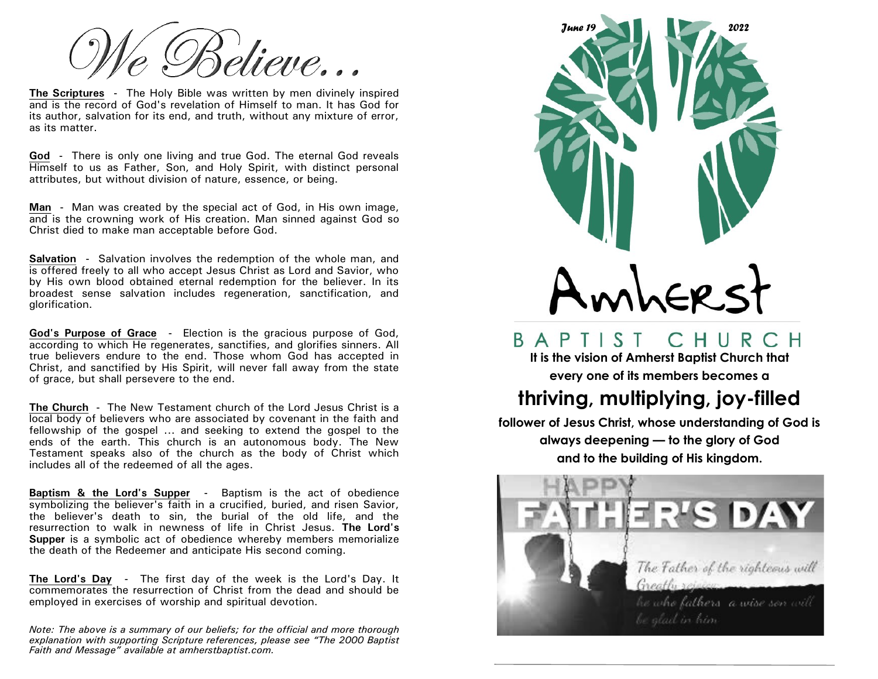élieve…

**The Scriptures -** The Holy Bible was written by men divinely inspired and is the record of God's revelation of Himself to man. It has God for its author, salvation for its end, and truth, without any mixture of error, as its matter.

**God -** There is only one living and true God. The eternal God reveals Himself to us as Father, Son, and Holy Spirit, with distinct personal attributes, but without division of nature, essence, or being.

**Man -** Man was created by the special act of God, in His own image, and is the crowning work of His creation. Man sinned against God so Christ died to make man acceptable before God.

**Salvation -** Salvation involves the redemption of the whole man, and is offered freely to all who accept Jesus Christ as Lord and Savior, who by His own blood obtained eternal redemption for the believer. In its broadest sense salvation includes regeneration, sanctification, and glorification.

**God's Purpose of Grace -** Election is the gracious purpose of God, according to which He regenerates, sanctifies, and glorifies sinners. All true believers endure to the end. Those whom God has accepted in Christ, and sanctified by His Spirit, will never fall away from the state of grace, but shall persevere to the end.

**The Church -** The New Testament church of the Lord Jesus Christ is a local body of believers who are associated by covenant in the faith and fellowship of the gospel  $\ldots$  and seeking to extend the gospel to the ends of the earth. This church is an autonomous body. The New Testament speaks also of the church as the body of Christ which includes all of the redeemed of all the ages.

**Baptism & the Lord's Supper -** Baptism is the act of obedience symbolizing the believer's faith in a crucified, buried, and risen Savior, the believer's death to sin, the burial of the old life, and the resurrection to walk in newness of life in Christ Jesus. **The Lord's Supper** is a symbolic act of obedience whereby members memorialize the death of the Redeemer and anticipate His second coming.

**The Lord's Day -** The first day of the week is the Lord's Day. It commemorates the resurrection of Christ from the dead and should be employed in exercises of worship and spiritual devotion.

*Note: The above is a summary of our beliefs; for the official and more thorough explanation with supporting Scripture references, please see "The 2000 Baptist Faith and Message" available at amherstbaptist.com.* 



## BAPTIST CHURCH

**It is the vision of Amherst Baptist Church that every one of its members becomes a** 

## **thriving, multiplying, joy-filled**

**follower of Jesus Christ, whose understanding of God is always deepening — to the glory of God and to the building of His kingdom.**